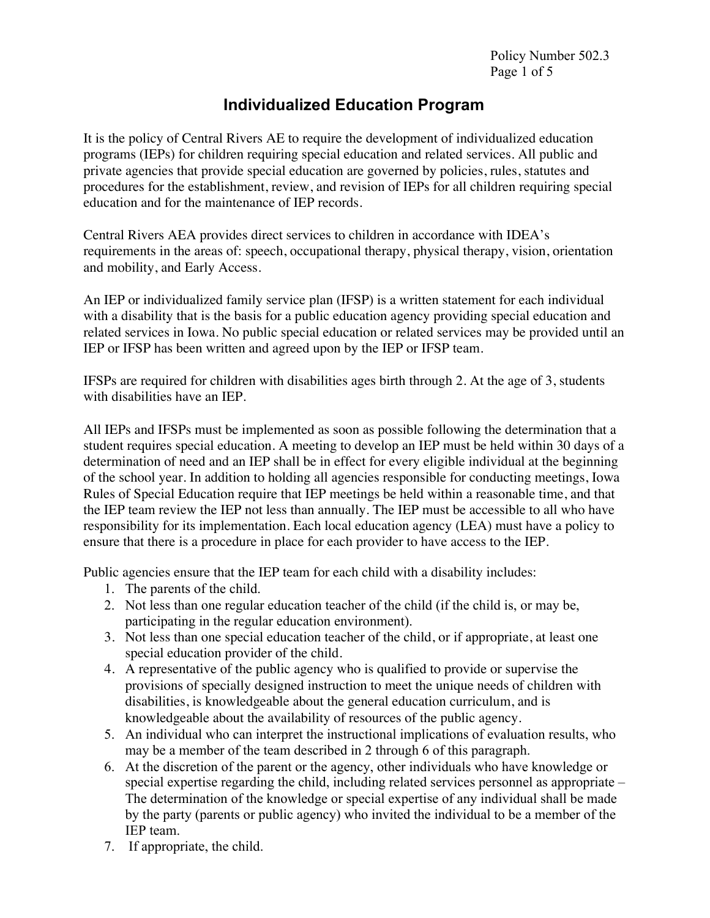## **Individualized Education Program**

It is the policy of Central Rivers AE to require the development of individualized education programs (IEPs) for children requiring special education and related services. All public and private agencies that provide special education are governed by policies, rules, statutes and procedures for the establishment, review, and revision of IEPs for all children requiring special education and for the maintenance of IEP records.

Central Rivers AEA provides direct services to children in accordance with IDEA's requirements in the areas of: speech, occupational therapy, physical therapy, vision, orientation and mobility, and Early Access.

An IEP or individualized family service plan (IFSP) is a written statement for each individual with a disability that is the basis for a public education agency providing special education and related services in Iowa. No public special education or related services may be provided until an IEP or IFSP has been written and agreed upon by the IEP or IFSP team.

IFSPs are required for children with disabilities ages birth through 2. At the age of 3, students with disabilities have an IEP.

All IEPs and IFSPs must be implemented as soon as possible following the determination that a student requires special education. A meeting to develop an IEP must be held within 30 days of a determination of need and an IEP shall be in effect for every eligible individual at the beginning of the school year. In addition to holding all agencies responsible for conducting meetings, Iowa Rules of Special Education require that IEP meetings be held within a reasonable time, and that the IEP team review the IEP not less than annually. The IEP must be accessible to all who have responsibility for its implementation. Each local education agency (LEA) must have a policy to ensure that there is a procedure in place for each provider to have access to the IEP.

Public agencies ensure that the IEP team for each child with a disability includes:

- 1. The parents of the child.
- 2. Not less than one regular education teacher of the child (if the child is, or may be, participating in the regular education environment).
- 3. Not less than one special education teacher of the child, or if appropriate, at least one special education provider of the child.
- 4. A representative of the public agency who is qualified to provide or supervise the provisions of specially designed instruction to meet the unique needs of children with disabilities, is knowledgeable about the general education curriculum, and is knowledgeable about the availability of resources of the public agency.
- 5. An individual who can interpret the instructional implications of evaluation results, who may be a member of the team described in 2 through 6 of this paragraph.
- 6. At the discretion of the parent or the agency, other individuals who have knowledge or special expertise regarding the child, including related services personnel as appropriate – The determination of the knowledge or special expertise of any individual shall be made by the party (parents or public agency) who invited the individual to be a member of the IEP team.
- 7. If appropriate, the child.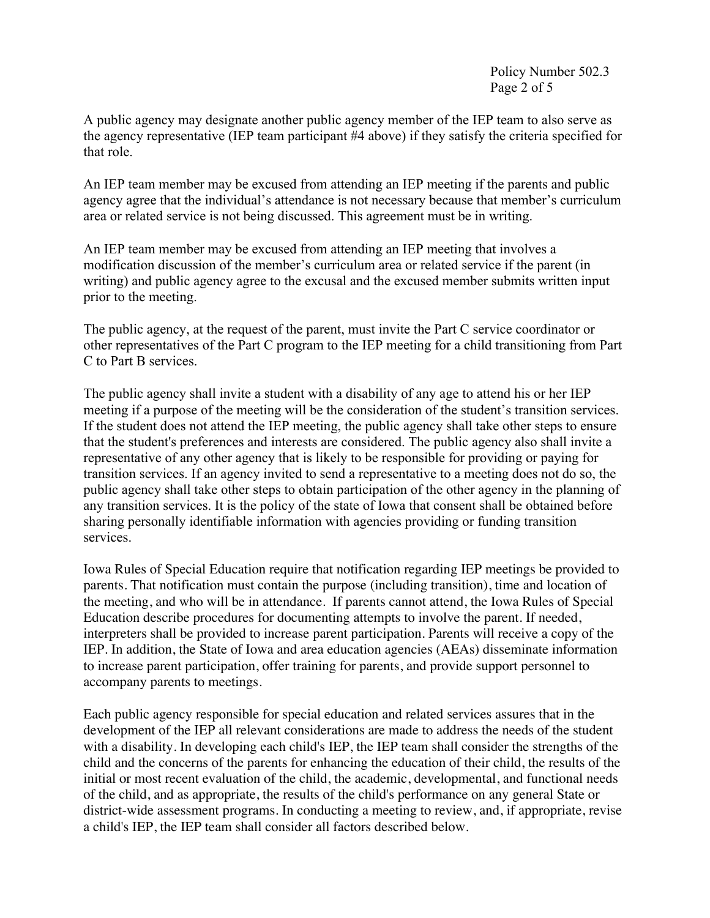Policy Number 502.3 Page 2 of 5

A public agency may designate another public agency member of the IEP team to also serve as the agency representative (IEP team participant #4 above) if they satisfy the criteria specified for that role.

An IEP team member may be excused from attending an IEP meeting if the parents and public agency agree that the individual's attendance is not necessary because that member's curriculum area or related service is not being discussed. This agreement must be in writing.

An IEP team member may be excused from attending an IEP meeting that involves a modification discussion of the member's curriculum area or related service if the parent (in writing) and public agency agree to the excusal and the excused member submits written input prior to the meeting.

The public agency, at the request of the parent, must invite the Part C service coordinator or other representatives of the Part C program to the IEP meeting for a child transitioning from Part C to Part B services.

The public agency shall invite a student with a disability of any age to attend his or her IEP meeting if a purpose of the meeting will be the consideration of the student's transition services. If the student does not attend the IEP meeting, the public agency shall take other steps to ensure that the student's preferences and interests are considered. The public agency also shall invite a representative of any other agency that is likely to be responsible for providing or paying for transition services. If an agency invited to send a representative to a meeting does not do so, the public agency shall take other steps to obtain participation of the other agency in the planning of any transition services. It is the policy of the state of Iowa that consent shall be obtained before sharing personally identifiable information with agencies providing or funding transition services.

Iowa Rules of Special Education require that notification regarding IEP meetings be provided to parents. That notification must contain the purpose (including transition), time and location of the meeting, and who will be in attendance. If parents cannot attend, the Iowa Rules of Special Education describe procedures for documenting attempts to involve the parent. If needed, interpreters shall be provided to increase parent participation. Parents will receive a copy of the IEP. In addition, the State of Iowa and area education agencies (AEAs) disseminate information to increase parent participation, offer training for parents, and provide support personnel to accompany parents to meetings.

Each public agency responsible for special education and related services assures that in the development of the IEP all relevant considerations are made to address the needs of the student with a disability. In developing each child's IEP, the IEP team shall consider the strengths of the child and the concerns of the parents for enhancing the education of their child, the results of the initial or most recent evaluation of the child, the academic, developmental, and functional needs of the child, and as appropriate, the results of the child's performance on any general State or district-wide assessment programs. In conducting a meeting to review, and, if appropriate, revise a child's IEP, the IEP team shall consider all factors described below.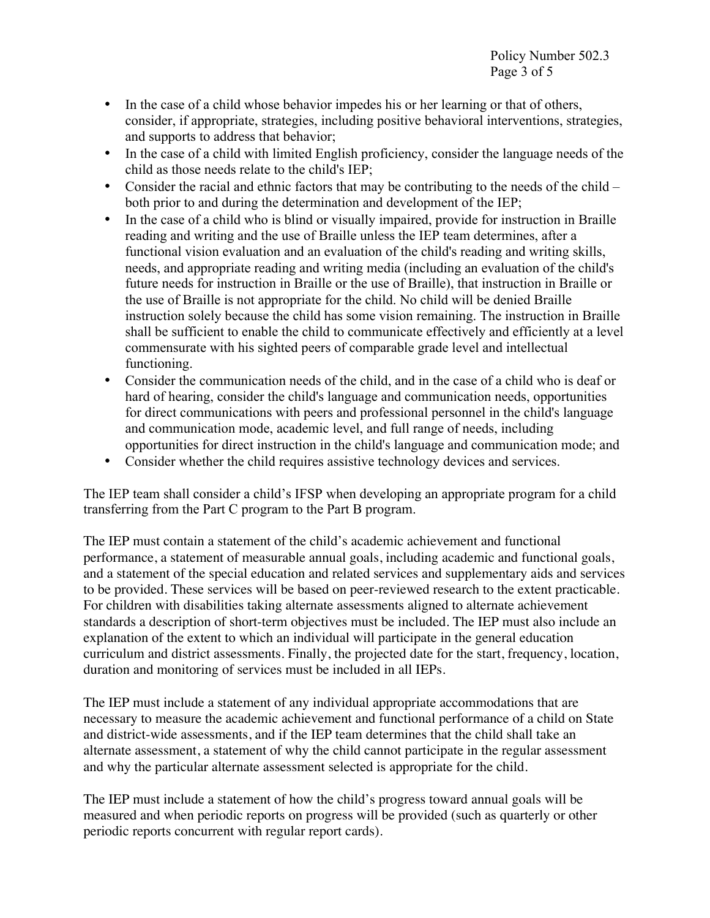- In the case of a child whose behavior impedes his or her learning or that of others, consider, if appropriate, strategies, including positive behavioral interventions, strategies, and supports to address that behavior;
- In the case of a child with limited English proficiency, consider the language needs of the child as those needs relate to the child's IEP;
- Consider the racial and ethnic factors that may be contributing to the needs of the child both prior to and during the determination and development of the IEP;
- In the case of a child who is blind or visually impaired, provide for instruction in Braille reading and writing and the use of Braille unless the IEP team determines, after a functional vision evaluation and an evaluation of the child's reading and writing skills, needs, and appropriate reading and writing media (including an evaluation of the child's future needs for instruction in Braille or the use of Braille), that instruction in Braille or the use of Braille is not appropriate for the child. No child will be denied Braille instruction solely because the child has some vision remaining. The instruction in Braille shall be sufficient to enable the child to communicate effectively and efficiently at a level commensurate with his sighted peers of comparable grade level and intellectual functioning.
- Consider the communication needs of the child, and in the case of a child who is deaf or hard of hearing, consider the child's language and communication needs, opportunities for direct communications with peers and professional personnel in the child's language and communication mode, academic level, and full range of needs, including opportunities for direct instruction in the child's language and communication mode; and
- Consider whether the child requires assistive technology devices and services.

The IEP team shall consider a child's IFSP when developing an appropriate program for a child transferring from the Part C program to the Part B program.

The IEP must contain a statement of the child's academic achievement and functional performance, a statement of measurable annual goals, including academic and functional goals, and a statement of the special education and related services and supplementary aids and services to be provided. These services will be based on peer-reviewed research to the extent practicable. For children with disabilities taking alternate assessments aligned to alternate achievement standards a description of short-term objectives must be included. The IEP must also include an explanation of the extent to which an individual will participate in the general education curriculum and district assessments. Finally, the projected date for the start, frequency, location, duration and monitoring of services must be included in all IEPs.

The IEP must include a statement of any individual appropriate accommodations that are necessary to measure the academic achievement and functional performance of a child on State and district-wide assessments, and if the IEP team determines that the child shall take an alternate assessment, a statement of why the child cannot participate in the regular assessment and why the particular alternate assessment selected is appropriate for the child.

The IEP must include a statement of how the child's progress toward annual goals will be measured and when periodic reports on progress will be provided (such as quarterly or other periodic reports concurrent with regular report cards).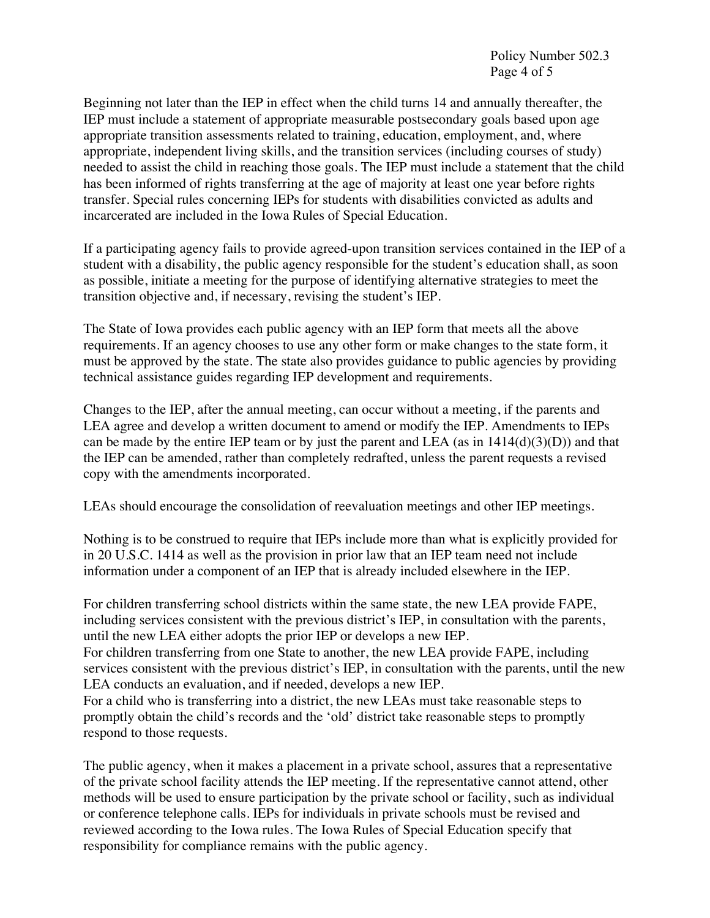Beginning not later than the IEP in effect when the child turns 14 and annually thereafter, the IEP must include a statement of appropriate measurable postsecondary goals based upon age appropriate transition assessments related to training, education, employment, and, where appropriate, independent living skills, and the transition services (including courses of study) needed to assist the child in reaching those goals. The IEP must include a statement that the child has been informed of rights transferring at the age of majority at least one year before rights transfer. Special rules concerning IEPs for students with disabilities convicted as adults and incarcerated are included in the Iowa Rules of Special Education.

If a participating agency fails to provide agreed-upon transition services contained in the IEP of a student with a disability, the public agency responsible for the student's education shall, as soon as possible, initiate a meeting for the purpose of identifying alternative strategies to meet the transition objective and, if necessary, revising the student's IEP.

The State of Iowa provides each public agency with an IEP form that meets all the above requirements. If an agency chooses to use any other form or make changes to the state form, it must be approved by the state. The state also provides guidance to public agencies by providing technical assistance guides regarding IEP development and requirements.

Changes to the IEP, after the annual meeting, can occur without a meeting, if the parents and LEA agree and develop a written document to amend or modify the IEP. Amendments to IEPs can be made by the entire IEP team or by just the parent and LEA (as in  $1414(d)(3)(D)$ ) and that the IEP can be amended, rather than completely redrafted, unless the parent requests a revised copy with the amendments incorporated.

LEAs should encourage the consolidation of reevaluation meetings and other IEP meetings.

Nothing is to be construed to require that IEPs include more than what is explicitly provided for in 20 U.S.C. 1414 as well as the provision in prior law that an IEP team need not include information under a component of an IEP that is already included elsewhere in the IEP.

For children transferring school districts within the same state, the new LEA provide FAPE, including services consistent with the previous district's IEP, in consultation with the parents, until the new LEA either adopts the prior IEP or develops a new IEP.

For children transferring from one State to another, the new LEA provide FAPE, including services consistent with the previous district's IEP, in consultation with the parents, until the new LEA conducts an evaluation, and if needed, develops a new IEP.

For a child who is transferring into a district, the new LEAs must take reasonable steps to promptly obtain the child's records and the 'old' district take reasonable steps to promptly respond to those requests.

The public agency, when it makes a placement in a private school, assures that a representative of the private school facility attends the IEP meeting. If the representative cannot attend, other methods will be used to ensure participation by the private school or facility, such as individual or conference telephone calls. IEPs for individuals in private schools must be revised and reviewed according to the Iowa rules. The Iowa Rules of Special Education specify that responsibility for compliance remains with the public agency.